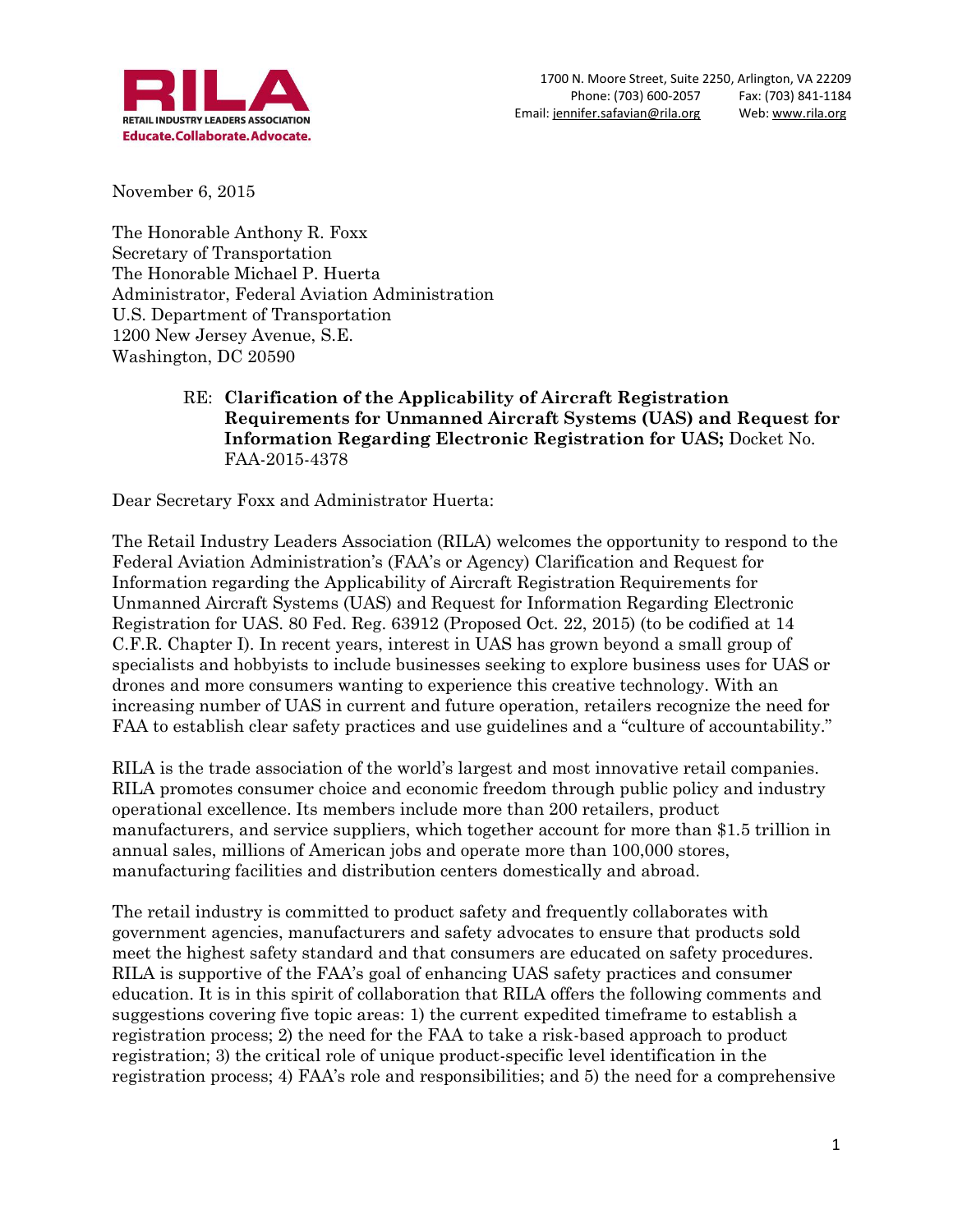

November 6, 2015

The Honorable Anthony R. Foxx Secretary of Transportation The Honorable Michael P. Huerta Administrator, Federal Aviation Administration U.S. Department of Transportation 1200 New Jersey Avenue, S.E. Washington, DC 20590

#### RE: **Clarification of the Applicability of Aircraft Registration Requirements for Unmanned Aircraft Systems (UAS) and Request for Information Regarding Electronic Registration for UAS;** Docket No. FAA-2015-4378

Dear Secretary Foxx and Administrator Huerta:

The Retail Industry Leaders Association (RILA) welcomes the opportunity to respond to the Federal Aviation Administration's (FAA's or Agency) Clarification and Request for Information regarding the Applicability of Aircraft Registration Requirements for Unmanned Aircraft Systems (UAS) and Request for Information Regarding Electronic Registration for UAS. 80 Fed. Reg. 63912 (Proposed Oct. 22, 2015) (to be codified at 14 C.F.R. Chapter I). In recent years, interest in UAS has grown beyond a small group of specialists and hobbyists to include businesses seeking to explore business uses for UAS or drones and more consumers wanting to experience this creative technology. With an increasing number of UAS in current and future operation, retailers recognize the need for FAA to establish clear safety practices and use guidelines and a "culture of accountability."

RILA is the trade association of the world's largest and most innovative retail companies. RILA promotes consumer choice and economic freedom through public policy and industry operational excellence. Its members include more than 200 retailers, product manufacturers, and service suppliers, which together account for more than \$1.5 trillion in annual sales, millions of American jobs and operate more than 100,000 stores, manufacturing facilities and distribution centers domestically and abroad.

The retail industry is committed to product safety and frequently collaborates with government agencies, manufacturers and safety advocates to ensure that products sold meet the highest safety standard and that consumers are educated on safety procedures. RILA is supportive of the FAA's goal of enhancing UAS safety practices and consumer education. It is in this spirit of collaboration that RILA offers the following comments and suggestions covering five topic areas: 1) the current expedited timeframe to establish a registration process; 2) the need for the FAA to take a risk-based approach to product registration; 3) the critical role of unique product-specific level identification in the registration process; 4) FAA's role and responsibilities; and 5) the need for a comprehensive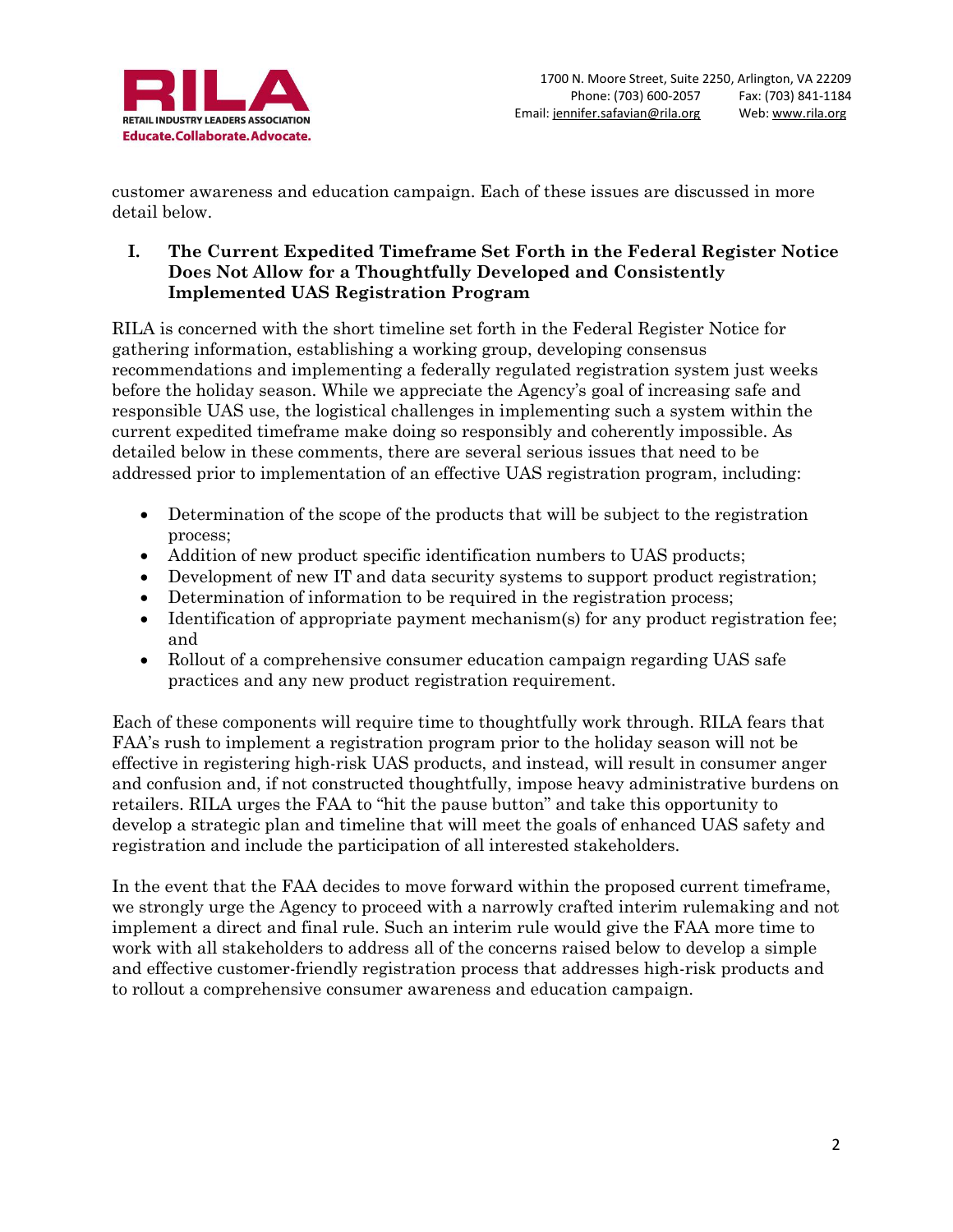

customer awareness and education campaign. Each of these issues are discussed in more detail below.

## **I. The Current Expedited Timeframe Set Forth in the Federal Register Notice Does Not Allow for a Thoughtfully Developed and Consistently Implemented UAS Registration Program**

RILA is concerned with the short timeline set forth in the Federal Register Notice for gathering information, establishing a working group, developing consensus recommendations and implementing a federally regulated registration system just weeks before the holiday season. While we appreciate the Agency's goal of increasing safe and responsible UAS use, the logistical challenges in implementing such a system within the current expedited timeframe make doing so responsibly and coherently impossible. As detailed below in these comments, there are several serious issues that need to be addressed prior to implementation of an effective UAS registration program, including:

- Determination of the scope of the products that will be subject to the registration process;
- Addition of new product specific identification numbers to UAS products;
- Development of new IT and data security systems to support product registration;
- Determination of information to be required in the registration process;
- Identification of appropriate payment mechanism(s) for any product registration fee; and
- Rollout of a comprehensive consumer education campaign regarding UAS safe practices and any new product registration requirement.

Each of these components will require time to thoughtfully work through. RILA fears that FAA's rush to implement a registration program prior to the holiday season will not be effective in registering high-risk UAS products, and instead, will result in consumer anger and confusion and, if not constructed thoughtfully, impose heavy administrative burdens on retailers. RILA urges the FAA to "hit the pause button" and take this opportunity to develop a strategic plan and timeline that will meet the goals of enhanced UAS safety and registration and include the participation of all interested stakeholders.

In the event that the FAA decides to move forward within the proposed current timeframe, we strongly urge the Agency to proceed with a narrowly crafted interim rulemaking and not implement a direct and final rule. Such an interim rule would give the FAA more time to work with all stakeholders to address all of the concerns raised below to develop a simple and effective customer-friendly registration process that addresses high-risk products and to rollout a comprehensive consumer awareness and education campaign.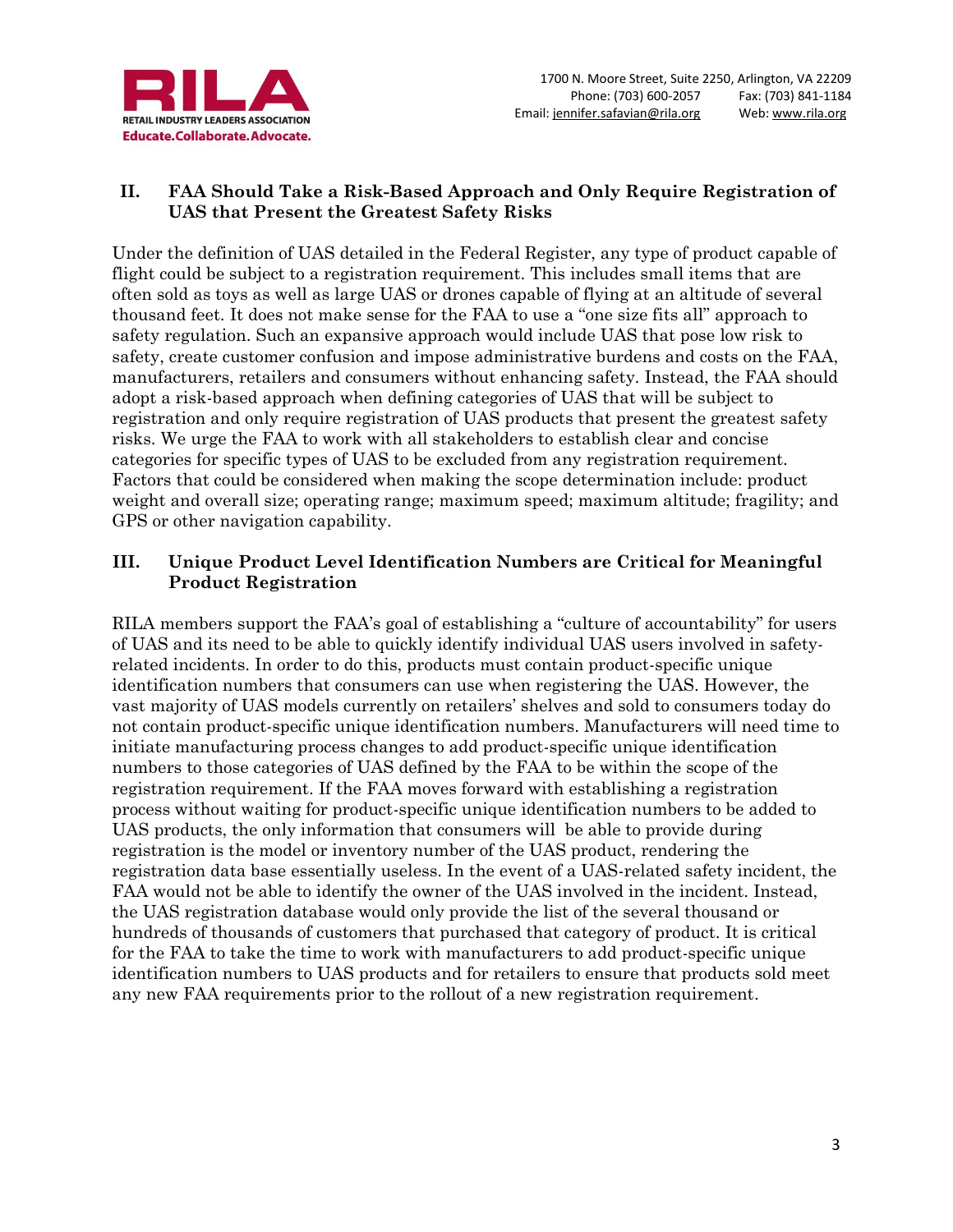

# **II. FAA Should Take a Risk-Based Approach and Only Require Registration of UAS that Present the Greatest Safety Risks**

Under the definition of UAS detailed in the Federal Register, any type of product capable of flight could be subject to a registration requirement. This includes small items that are often sold as toys as well as large UAS or drones capable of flying at an altitude of several thousand feet. It does not make sense for the FAA to use a "one size fits all" approach to safety regulation. Such an expansive approach would include UAS that pose low risk to safety, create customer confusion and impose administrative burdens and costs on the FAA, manufacturers, retailers and consumers without enhancing safety. Instead, the FAA should adopt a risk-based approach when defining categories of UAS that will be subject to registration and only require registration of UAS products that present the greatest safety risks. We urge the FAA to work with all stakeholders to establish clear and concise categories for specific types of UAS to be excluded from any registration requirement. Factors that could be considered when making the scope determination include: product weight and overall size; operating range; maximum speed; maximum altitude; fragility; and GPS or other navigation capability.

## **III. Unique Product Level Identification Numbers are Critical for Meaningful Product Registration**

RILA members support the FAA's goal of establishing a "culture of accountability" for users of UAS and its need to be able to quickly identify individual UAS users involved in safetyrelated incidents. In order to do this, products must contain product-specific unique identification numbers that consumers can use when registering the UAS. However, the vast majority of UAS models currently on retailers' shelves and sold to consumers today do not contain product-specific unique identification numbers. Manufacturers will need time to initiate manufacturing process changes to add product-specific unique identification numbers to those categories of UAS defined by the FAA to be within the scope of the registration requirement. If the FAA moves forward with establishing a registration process without waiting for product-specific unique identification numbers to be added to UAS products, the only information that consumers will be able to provide during registration is the model or inventory number of the UAS product, rendering the registration data base essentially useless. In the event of a UAS-related safety incident, the FAA would not be able to identify the owner of the UAS involved in the incident. Instead, the UAS registration database would only provide the list of the several thousand or hundreds of thousands of customers that purchased that category of product. It is critical for the FAA to take the time to work with manufacturers to add product-specific unique identification numbers to UAS products and for retailers to ensure that products sold meet any new FAA requirements prior to the rollout of a new registration requirement.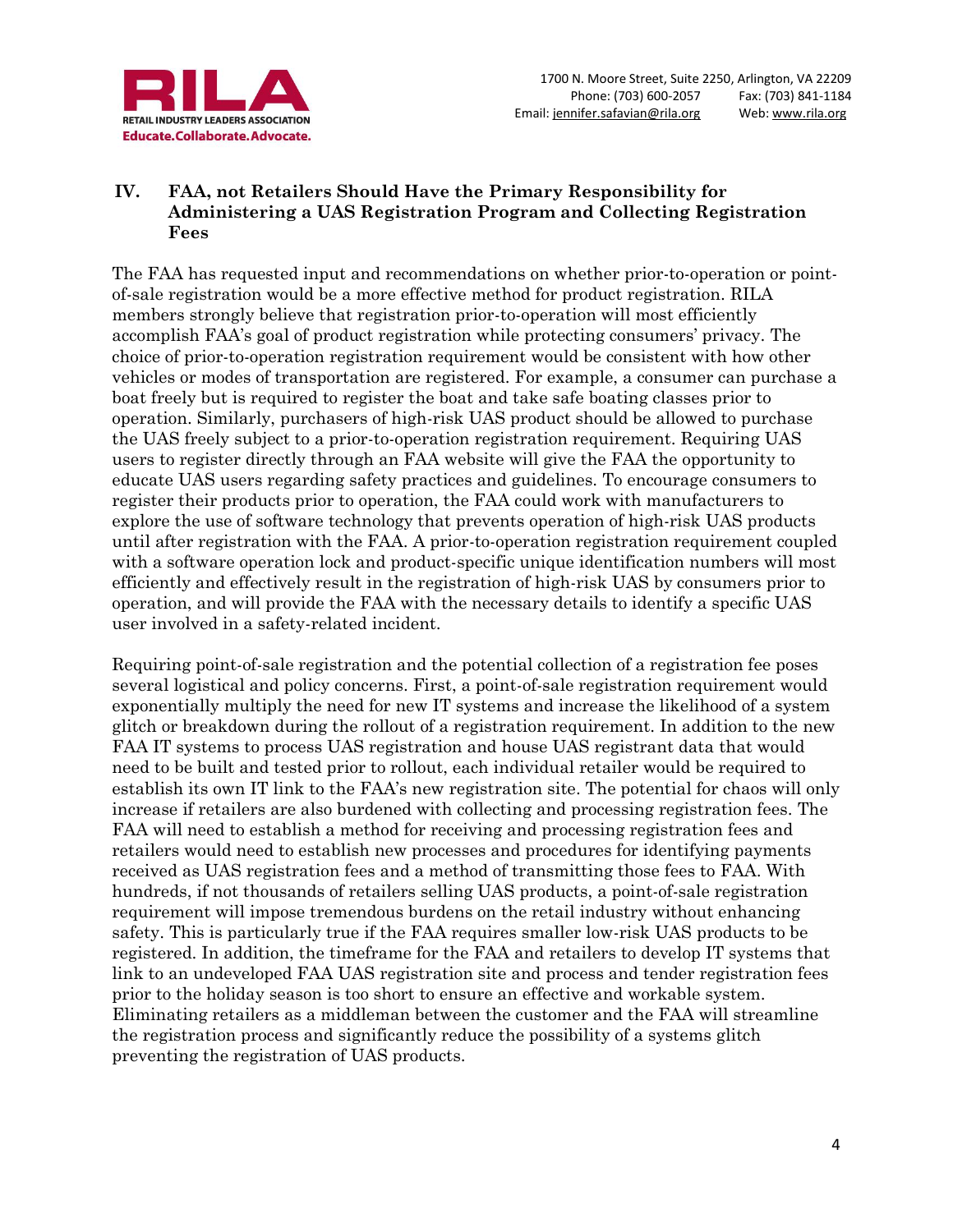

## **IV. FAA, not Retailers Should Have the Primary Responsibility for Administering a UAS Registration Program and Collecting Registration Fees**

The FAA has requested input and recommendations on whether prior-to-operation or pointof-sale registration would be a more effective method for product registration. RILA members strongly believe that registration prior-to-operation will most efficiently accomplish FAA's goal of product registration while protecting consumers' privacy. The choice of prior-to-operation registration requirement would be consistent with how other vehicles or modes of transportation are registered. For example, a consumer can purchase a boat freely but is required to register the boat and take safe boating classes prior to operation. Similarly, purchasers of high-risk UAS product should be allowed to purchase the UAS freely subject to a prior-to-operation registration requirement. Requiring UAS users to register directly through an FAA website will give the FAA the opportunity to educate UAS users regarding safety practices and guidelines. To encourage consumers to register their products prior to operation, the FAA could work with manufacturers to explore the use of software technology that prevents operation of high-risk UAS products until after registration with the FAA. A prior-to-operation registration requirement coupled with a software operation lock and product-specific unique identification numbers will most efficiently and effectively result in the registration of high-risk UAS by consumers prior to operation, and will provide the FAA with the necessary details to identify a specific UAS user involved in a safety-related incident.

Requiring point-of-sale registration and the potential collection of a registration fee poses several logistical and policy concerns. First, a point-of-sale registration requirement would exponentially multiply the need for new IT systems and increase the likelihood of a system glitch or breakdown during the rollout of a registration requirement. In addition to the new FAA IT systems to process UAS registration and house UAS registrant data that would need to be built and tested prior to rollout, each individual retailer would be required to establish its own IT link to the FAA's new registration site. The potential for chaos will only increase if retailers are also burdened with collecting and processing registration fees. The FAA will need to establish a method for receiving and processing registration fees and retailers would need to establish new processes and procedures for identifying payments received as UAS registration fees and a method of transmitting those fees to FAA. With hundreds, if not thousands of retailers selling UAS products, a point-of-sale registration requirement will impose tremendous burdens on the retail industry without enhancing safety. This is particularly true if the FAA requires smaller low-risk UAS products to be registered. In addition, the timeframe for the FAA and retailers to develop IT systems that link to an undeveloped FAA UAS registration site and process and tender registration fees prior to the holiday season is too short to ensure an effective and workable system. Eliminating retailers as a middleman between the customer and the FAA will streamline the registration process and significantly reduce the possibility of a systems glitch preventing the registration of UAS products.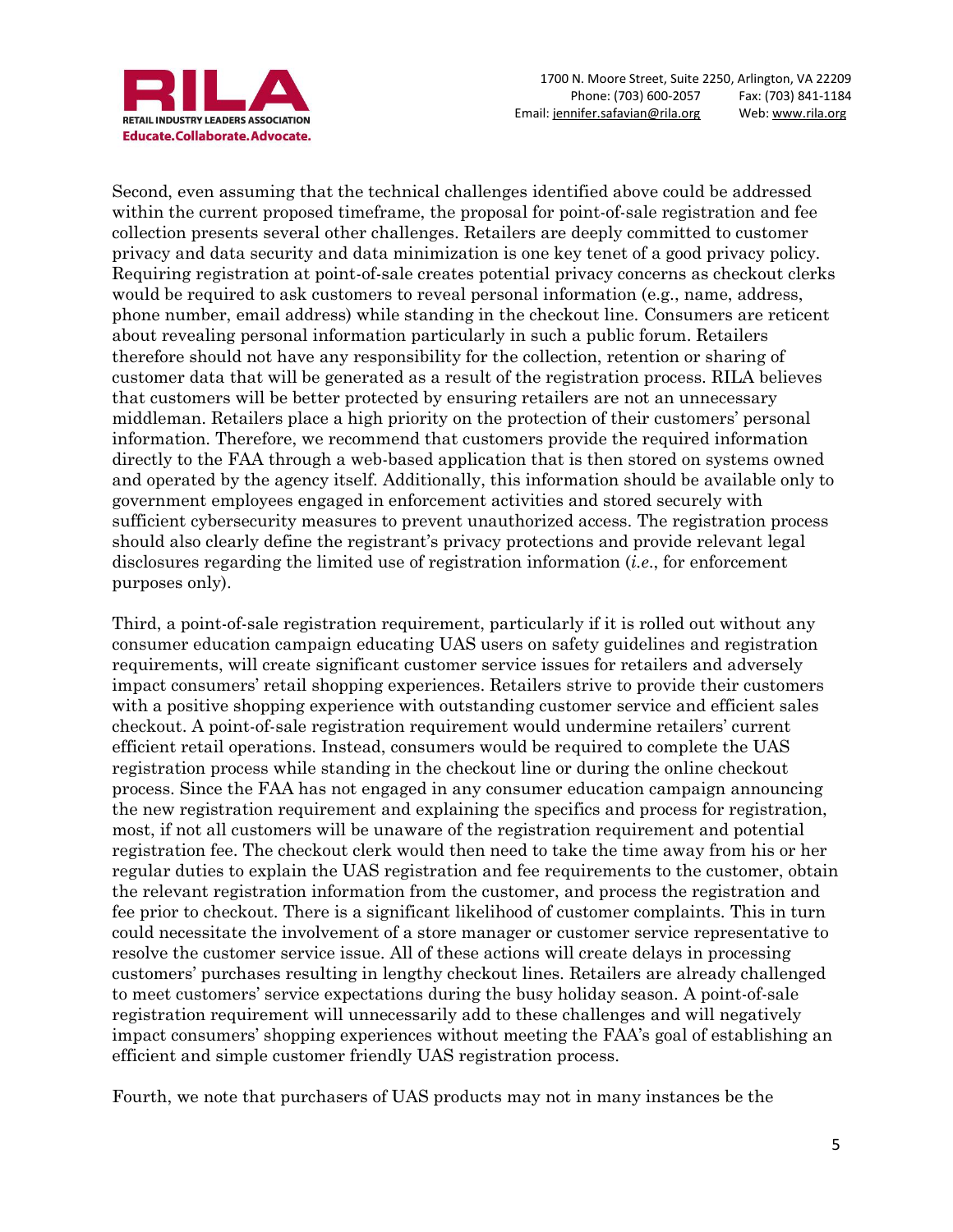

Second, even assuming that the technical challenges identified above could be addressed within the current proposed timeframe, the proposal for point-of-sale registration and fee collection presents several other challenges. Retailers are deeply committed to customer privacy and data security and data minimization is one key tenet of a good privacy policy. Requiring registration at point-of-sale creates potential privacy concerns as checkout clerks would be required to ask customers to reveal personal information (e.g., name, address, phone number, email address) while standing in the checkout line. Consumers are reticent about revealing personal information particularly in such a public forum. Retailers therefore should not have any responsibility for the collection, retention or sharing of customer data that will be generated as a result of the registration process. RILA believes that customers will be better protected by ensuring retailers are not an unnecessary middleman. Retailers place a high priority on the protection of their customers' personal information. Therefore, we recommend that customers provide the required information directly to the FAA through a web-based application that is then stored on systems owned and operated by the agency itself. Additionally, this information should be available only to government employees engaged in enforcement activities and stored securely with sufficient cybersecurity measures to prevent unauthorized access. The registration process should also clearly define the registrant's privacy protections and provide relevant legal disclosures regarding the limited use of registration information (*i.e*., for enforcement purposes only).

Third, a point-of-sale registration requirement, particularly if it is rolled out without any consumer education campaign educating UAS users on safety guidelines and registration requirements, will create significant customer service issues for retailers and adversely impact consumers' retail shopping experiences. Retailers strive to provide their customers with a positive shopping experience with outstanding customer service and efficient sales checkout. A point-of-sale registration requirement would undermine retailers' current efficient retail operations. Instead, consumers would be required to complete the UAS registration process while standing in the checkout line or during the online checkout process. Since the FAA has not engaged in any consumer education campaign announcing the new registration requirement and explaining the specifics and process for registration, most, if not all customers will be unaware of the registration requirement and potential registration fee. The checkout clerk would then need to take the time away from his or her regular duties to explain the UAS registration and fee requirements to the customer, obtain the relevant registration information from the customer, and process the registration and fee prior to checkout. There is a significant likelihood of customer complaints. This in turn could necessitate the involvement of a store manager or customer service representative to resolve the customer service issue. All of these actions will create delays in processing customers' purchases resulting in lengthy checkout lines. Retailers are already challenged to meet customers' service expectations during the busy holiday season. A point-of-sale registration requirement will unnecessarily add to these challenges and will negatively impact consumers' shopping experiences without meeting the FAA's goal of establishing an efficient and simple customer friendly UAS registration process.

Fourth, we note that purchasers of UAS products may not in many instances be the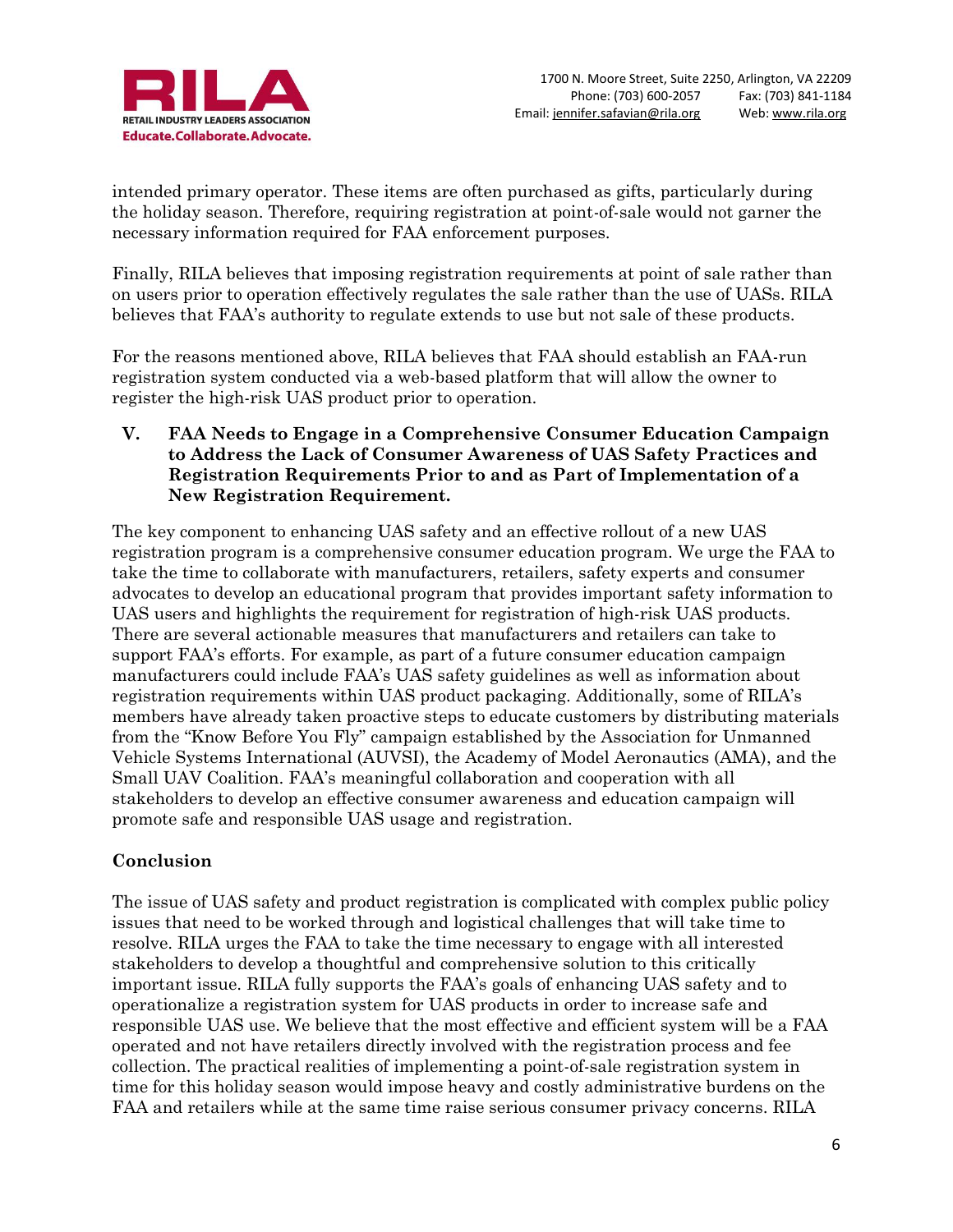

intended primary operator. These items are often purchased as gifts, particularly during the holiday season. Therefore, requiring registration at point-of-sale would not garner the necessary information required for FAA enforcement purposes.

Finally, RILA believes that imposing registration requirements at point of sale rather than on users prior to operation effectively regulates the sale rather than the use of UASs. RILA believes that FAA's authority to regulate extends to use but not sale of these products.

For the reasons mentioned above, RILA believes that FAA should establish an FAA-run registration system conducted via a web-based platform that will allow the owner to register the high-risk UAS product prior to operation.

**V. FAA Needs to Engage in a Comprehensive Consumer Education Campaign to Address the Lack of Consumer Awareness of UAS Safety Practices and Registration Requirements Prior to and as Part of Implementation of a New Registration Requirement.**

The key component to enhancing UAS safety and an effective rollout of a new UAS registration program is a comprehensive consumer education program. We urge the FAA to take the time to collaborate with manufacturers, retailers, safety experts and consumer advocates to develop an educational program that provides important safety information to UAS users and highlights the requirement for registration of high-risk UAS products. There are several actionable measures that manufacturers and retailers can take to support FAA's efforts. For example, as part of a future consumer education campaign manufacturers could include FAA's UAS safety guidelines as well as information about registration requirements within UAS product packaging. Additionally, some of RILA's members have already taken proactive steps to educate customers by distributing materials from the "Know Before You Fly" campaign established by the Association for Unmanned Vehicle Systems International (AUVSI), the Academy of Model Aeronautics (AMA), and the Small UAV Coalition. FAA's meaningful collaboration and cooperation with all stakeholders to develop an effective consumer awareness and education campaign will promote safe and responsible UAS usage and registration.

# **Conclusion**

The issue of UAS safety and product registration is complicated with complex public policy issues that need to be worked through and logistical challenges that will take time to resolve. RILA urges the FAA to take the time necessary to engage with all interested stakeholders to develop a thoughtful and comprehensive solution to this critically important issue. RILA fully supports the FAA's goals of enhancing UAS safety and to operationalize a registration system for UAS products in order to increase safe and responsible UAS use. We believe that the most effective and efficient system will be a FAA operated and not have retailers directly involved with the registration process and fee collection. The practical realities of implementing a point-of-sale registration system in time for this holiday season would impose heavy and costly administrative burdens on the FAA and retailers while at the same time raise serious consumer privacy concerns. RILA